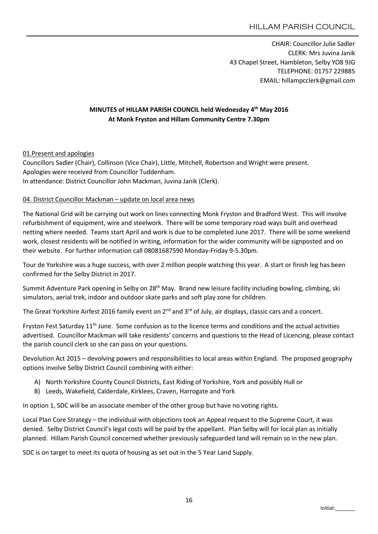CHAIR: Councillor Julie Sadler CLERK: Mrs Juvina Janik 43 Chapel Street, Hambleton, Selby YO8 9JG TELEPHONE: 01757 229885 EMAIL: hillampcclerk@gmail.com

# MINUTES of HILLAM PARISH COUNCIL held Wednesday 4th May 2016 At Monk Fryston and Hillam Community Centre 7.30pm

#### 01.Present and apologies

Councillors Sadler (Chair), Collinson (Vice Chair), Little, Mitchell, Robertson and Wright were present. Apologies were received from Councillor Tuddenham. In attendance: District Councillor John Mackman, Juvina Janik (Clerk).

#### 04. District Councillor Mackman – update on local area news

The National Grid will be carrying out work on lines connecting Monk Fryston and Bradford West. This will involve refurbishment of equipment, wire and steelwork. There will be some temporary road ways built and overhead netting where needed. Teams start April and work is due to be completed June 2017. There will be some weekend work, closest residents will be notified in writing, information for the wider community will be signposted and on their website. For further information call 08081687590 Monday-Friday 9-5.30pm.

Tour de Yorkshire was a huge success, with over 2 million people watching this year. A start or finish leg has been confirmed for the Selby District in 2017.

Summit Adventure Park opening in Selby on 28<sup>th</sup> May. Brand new leisure facility including bowling, climbing, ski simulators, aerial trek, indoor and outdoor skate parks and soft play zone for children.

The Great Yorkshire Airfest 2016 family event on 2<sup>nd</sup> and 3<sup>rd</sup> of July, air displays, classic cars and a concert.

Fryston Fest Saturday 11<sup>th</sup> June. Some confusion as to the licence terms and conditions and the actual activities advertised. Councillor Mackman will take residents' concerns and questions to the Head of Licencing, please contact the parish council clerk so she can pass on your questions.

Devolution Act 2015 – devolving powers and responsibilities to local areas within England. The proposed geography options involve Selby District Council combining with either:

- A) North Yorkshire County Council Districts, East Riding of Yorkshire, York and possibly Hull or
- B) Leeds, Wakefield, Calderdale, Kirklees, Craven, Harrogate and York

In option 1, SDC will be an associate member of the other group but have no voting rights.

Local Plan Core Strategy – the individual with objections took an Appeal request to the Supreme Court, it was denied. Selby District Council's legal costs will be paid by the appellant. Plan Selby will for local plan as initially planned. Hillam Parish Council concerned whether previously safeguarded land will remain so in the new plan.

SDC is on target to meet its quota of housing as set out in the 5 Year Land Supply.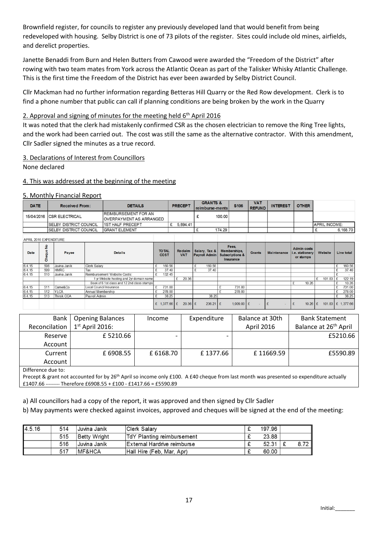Brownfield register, for councils to register any previously developed land that would benefit from being redeveloped with housing. Selby District is one of 73 pilots of the register. Sites could include old mines, airfields, and derelict properties.

Janette Benaddi from Burn and Helen Butters from Cawood were awarded the "Freedom of the District" after rowing with two team mates from York across the Atlantic Ocean as part of the Talisker Whisky Atlantic Challenge. This is the first time the Freedom of the District has ever been awarded by Selby District Council.

Cllr Mackman had no further information regarding Betteras Hill Quarry or the Red Row development. Clerk is to find a phone number that public can call if planning conditions are being broken by the work in the Quarry

### 2. Approval and signing of minutes for the meeting held  $6<sup>th</sup>$  April 2016

It was noted that the clerk had mistakenly confirmed CSR as the chosen electrician to remove the Ring Tree lights, and the work had been carried out. The cost was still the same as the alternative contractor. With this amendment, Cllr Sadler signed the minutes as a true record.

#### 3. Declarations of Interest from Councillors

None declared

#### 4. This was addressed at the beginning of the meeting

#### 5. Monthly Financial Report

| <b>DATE</b><br><b>Received From:</b> |                         |                                                               | <b>DETAILS</b>    |                                             |    | <b>PRECEPT</b>               |                              | <b>GRANTS &amp;</b><br>reimburse-ments |             |                                       | <b>S106</b> | <b>VAT</b><br><b>REFUND</b>                                      | <b>INTEREST</b> | <b>OTHER</b>       |                                                    |                      |                     |
|--------------------------------------|-------------------------|---------------------------------------------------------------|-------------------|---------------------------------------------|----|------------------------------|------------------------------|----------------------------------------|-------------|---------------------------------------|-------------|------------------------------------------------------------------|-----------------|--------------------|----------------------------------------------------|----------------------|---------------------|
| 15/04/2016 ICSR ELECTRICAL           |                         | <b>REIMBURSEMENT FOR AN</b><br><b>OVERPAYMENT AS ARRANGED</b> |                   |                                             |    |                              | £                            |                                        | 100.00      |                                       |             |                                                                  |                 |                    |                                                    |                      |                     |
|                                      |                         | <b>ISELBY DISTRICT COUNCIL</b>                                |                   | <b>1ST HALF PRECEPT</b>                     |    | £                            | 5.894.41                     |                                        |             |                                       |             |                                                                  |                 |                    |                                                    | <b>APRIL INCOME:</b> |                     |
|                                      |                         | <b>SELBY DISTRICT COUNCIL</b>                                 |                   | <b>GRANT ELEMENT</b>                        |    |                              |                              |                                        | 174.29<br>£ |                                       |             |                                                                  |                 |                    |                                                    | 6,168.70<br>£        |                     |
| APRIL 2016 EXPENDITURE               |                         |                                                               |                   |                                             |    |                              |                              |                                        |             |                                       |             |                                                                  |                 |                    |                                                    |                      |                     |
| <b>Date</b>                          | $\frac{1}{2}$<br>Cheque | Payee                                                         |                   | <b>Details</b>                              |    | <b>TO TAL</b><br><b>COST</b> | <b>Reclaim</b><br><b>VAT</b> |                                        |             | Salary, Tax &<br><b>Payroll Admin</b> |             | Fees,<br>Memberships,<br><b>Subscriptions &amp;</b><br>Insurance | <b>Grants</b>   | <b>Maintenance</b> | <b>Admin costs</b><br>i.e. stationery<br>or stamps | Website              | Line total          |
| 6.4.15                               | 508                     | Juvina Janik                                                  | Clerk Salary      |                                             |    | 160.56                       |                              |                                        |             | 160.56                                |             |                                                                  |                 |                    |                                                    |                      | 160.56<br>£         |
| 6.4.15                               | 509                     | <b>HMRC</b>                                                   | Tax               |                                             |    | 37.40                        |                              |                                        |             | 37.40                                 |             |                                                                  |                 |                    |                                                    |                      | 37.40<br>£          |
| 6.4.15                               | 510                     | Juvina Janik                                                  |                   | Reimbursement Website Costs:                | £. | 132.45                       |                              |                                        |             |                                       |             |                                                                  |                 |                    |                                                    |                      | £                   |
|                                      |                         |                                                               |                   | 1 yr Website hosting and 2yr domain name    |    |                              | 20.36                        |                                        |             |                                       |             |                                                                  |                 |                    |                                                    | 101.83 $E$<br>£      | 122.19              |
|                                      |                         |                                                               |                   | Book of 6 1st class and 12 2nd class stamps |    |                              |                              |                                        |             |                                       |             |                                                                  |                 |                    | 10.26                                              |                      | 10.26<br>£          |
| 6.4.15                               | 511                     | Came&Co                                                       |                   | Local Council Insurance<br>£                |    | 731.00                       |                              |                                        |             |                                       | £           | 731.00                                                           |                 |                    |                                                    |                      | 731.00<br>£         |
| 6.4.15                               | 512                     | <b>YLCA</b>                                                   | Annual Membership |                                             |    | 278.00                       |                              |                                        |             |                                       | c           | 278.00                                                           |                 |                    |                                                    |                      | 278.00<br>£         |
| 6.4.15                               | 513                     | <b>Thirsk CCA</b>                                             | Payroll Admin     |                                             |    | 38.25                        |                              |                                        |             | 38.25                                 |             |                                                                  |                 |                    |                                                    |                      | 38.25<br>£          |
|                                      |                         |                                                               |                   |                                             | £  | 1,377.66 $E$                 |                              | $20.36$ £                              |             | $236.21$ £                            |             | $1,009.00$ £                                                     |                 | £                  | 10.26<br>£                                         | Ι£                   | 101.83   £ 1,377.66 |

| Bank          | <b>Opening Balances</b> | Income    | Expenditure | Balance at 30th   | <b>Bank Statement</b>             |
|---------------|-------------------------|-----------|-------------|-------------------|-----------------------------------|
| Reconcilation | $1st$ April 2016:       |           |             | <b>April 2016</b> | Balance at 26 <sup>th</sup> April |
| Reserve       | £5210.66                |           |             |                   | £5210.66                          |
| Account       |                         |           |             |                   |                                   |
| Current       | £ 6908.55               | £ 6168.70 | £1377.66    | £11669.59         | £5590.89                          |
| Account       |                         |           |             |                   |                                   |
|               |                         |           |             |                   |                                   |

Difference due to:

Precept & grant not accounted for by 26<sup>th</sup> April so income only £100. A £40 cheque from last month was presented so expenditure actually £1407.66 --------- Therefore £6908.55 + £100 - £1417.66 = £5590.89

a) All councillors had a copy of the report, it was approved and then signed by Cllr Sadler

b) May payments were checked against invoices, approved and cheques will be signed at the end of the meeting:

| 4.5.16 | 514 | Juvina Janik       | Clerk Salary                      |   | 197.96 |      |
|--------|-----|--------------------|-----------------------------------|---|--------|------|
|        | 515 | Betty Wright       | <b>TdY Planting reimbursement</b> | ~ | 23.88  |      |
|        | 516 | Juvina Janik       | External Hardrive reimburse       | ∼ | 52.31  | 8.72 |
|        | 517 | <b>IMF&amp;HCA</b> | Hall Hire (Feb, Mar, Apr)         | ∼ | 60.00  |      |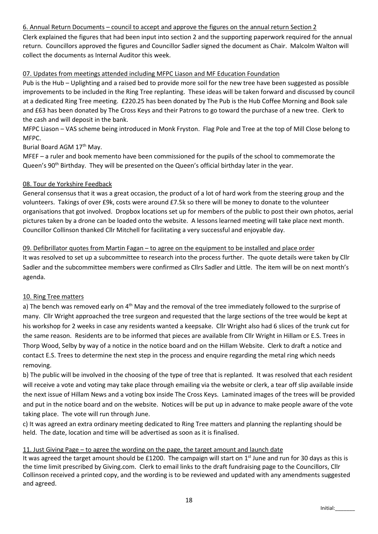# 6. Annual Return Documents – council to accept and approve the figures on the annual return Section 2

Clerk explained the figures that had been input into section 2 and the supporting paperwork required for the annual return. Councillors approved the figures and Councillor Sadler signed the document as Chair. Malcolm Walton will collect the documents as Internal Auditor this week.

#### 07. Updates from meetings attended including MFPC Liason and MF Education Foundation

Pub is the Hub – Uplighting and a raised bed to provide more soil for the new tree have been suggested as possible improvements to be included in the Ring Tree replanting. These ideas will be taken forward and discussed by council at a dedicated Ring Tree meeting. £220.25 has been donated by The Pub is the Hub Coffee Morning and Book sale and £63 has been donated by The Cross Keys and their Patrons to go toward the purchase of a new tree. Clerk to the cash and will deposit in the bank.

MFPC Liason – VAS scheme being introduced in Monk Fryston. Flag Pole and Tree at the top of Mill Close belong to MFPC.

Burial Board AGM 17<sup>th</sup> May.

MFEF – a ruler and book memento have been commissioned for the pupils of the school to commemorate the Queen's 90<sup>th</sup> Birthday. They will be presented on the Queen's official birthday later in the year.

#### 08. Tour de Yorkshire Feedback

General consensus that it was a great occasion, the product of a lot of hard work from the steering group and the volunteers. Takings of over £9k, costs were around £7.5k so there will be money to donate to the volunteer organisations that got involved. Dropbox locations set up for members of the public to post their own photos, aerial pictures taken by a drone can be loaded onto the website. A lessons learned meeting will take place next month. Councillor Collinson thanked Cllr Mitchell for facilitating a very successful and enjoyable day.

#### 09. Defibrillator quotes from Martin Fagan – to agree on the equipment to be installed and place order

It was resolved to set up a subcommittee to research into the process further. The quote details were taken by Cllr Sadler and the subcommittee members were confirmed as Cllrs Sadler and Little. The item will be on next month's agenda.

#### 10. Ring Tree matters

a) The bench was removed early on 4<sup>th</sup> May and the removal of the tree immediately followed to the surprise of many. Cllr Wright approached the tree surgeon and requested that the large sections of the tree would be kept at his workshop for 2 weeks in case any residents wanted a keepsake. Cllr Wright also had 6 slices of the trunk cut for the same reason. Residents are to be informed that pieces are available from Cllr Wright in Hillam or E.S. Trees in Thorp Wood, Selby by way of a notice in the notice board and on the Hillam Website. Clerk to draft a notice and contact E.S. Trees to determine the next step in the process and enquire regarding the metal ring which needs removing.

b) The public will be involved in the choosing of the type of tree that is replanted. It was resolved that each resident will receive a vote and voting may take place through emailing via the website or clerk, a tear off slip available inside the next issue of Hillam News and a voting box inside The Cross Keys. Laminated images of the trees will be provided and put in the notice board and on the website. Notices will be put up in advance to make people aware of the vote taking place. The vote will run through June.

c) It was agreed an extra ordinary meeting dedicated to Ring Tree matters and planning the replanting should be held. The date, location and time will be advertised as soon as it is finalised.

#### 11. Just Giving Page – to agree the wording on the page, the target amount and launch date

It was agreed the target amount should be £1200. The campaign will start on  $1<sup>st</sup>$  June and run for 30 days as this is the time limit prescribed by Giving.com. Clerk to email links to the draft fundraising page to the Councillors, Cllr Collinson received a printed copy, and the wording is to be reviewed and updated with any amendments suggested and agreed.